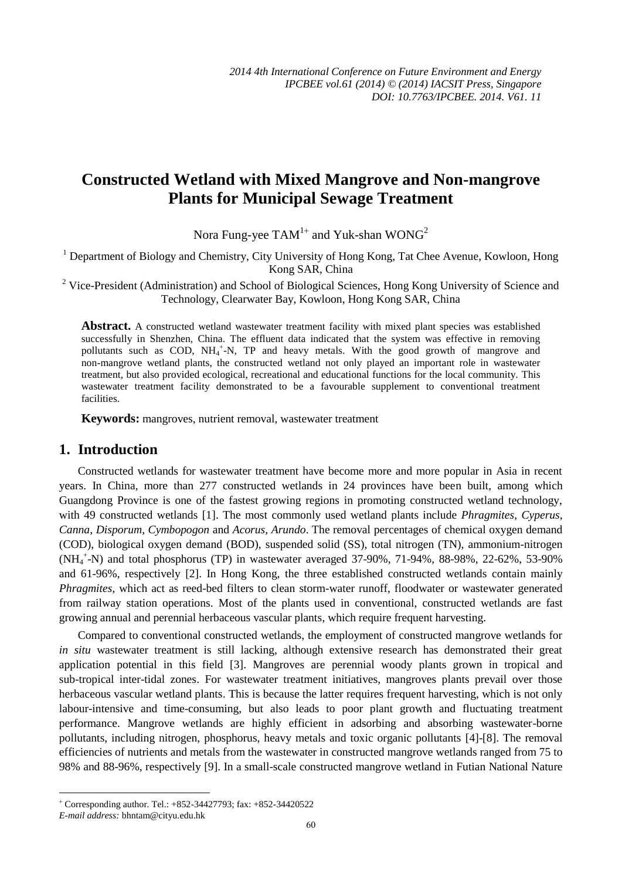# **Constructed Wetland with Mixed Mangrove and Non-mangrove Plants for Municipal Sewage Treatment**

Nora Fung-yee  $\text{TAM}^{1+}$  and Yuk-shan WONG<sup>2</sup>

<sup>1</sup> Department of Biology and Chemistry, City University of Hong Kong, Tat Chee Avenue, Kowloon, Hong Kong SAR, China

<sup>2</sup> Vice-President (Administration) and School of Biological Sciences, Hong Kong University of Science and Technology, Clearwater Bay, Kowloon, Hong Kong SAR, China

**Abstract.** A constructed wetland wastewater treatment facility with mixed plant species was established successfully in Shenzhen, China. The effluent data indicated that the system was effective in removing pollutants such as COD, NH<sub>4</sub><sup>+</sup>-N, TP and heavy metals. With the good growth of mangrove and non-mangrove wetland plants, the constructed wetland not only played an important role in wastewater treatment, but also provided ecological, recreational and educational functions for the local community. This wastewater treatment facility demonstrated to be a favourable supplement to conventional treatment facilities.

**Keywords:** mangroves, nutrient removal, wastewater treatment

#### **1. Introduction**

Constructed wetlands for wastewater treatment have become more and more popular in Asia in recent years. In China, more than 277 constructed wetlands in 24 provinces have been built, among which Guangdong Province is one of the fastest growing regions in promoting constructed wetland technology, with 49 constructed wetlands [1]. The most commonly used wetland plants include *Phragmites*, *Cyperus*, *Canna*, *Disporum*, *Cymbopogon* and *Acorus, Arundo*. The removal percentages of chemical oxygen demand (COD), biological oxygen demand (BOD), suspended solid (SS), total nitrogen (TN), ammonium-nitrogen (NH<sup>4</sup> + -N) and total phosphorus (TP) in wastewater averaged 37-90%, 71-94%, 88-98%, 22-62%, 53-90% and 61-96%, respectively [2]. In Hong Kong, the three established constructed wetlands contain mainly *Phragmites*, which act as reed-bed filters to clean storm-water runoff, floodwater or wastewater generated from railway station operations. Most of the plants used in conventional, constructed wetlands are fast growing annual and perennial herbaceous vascular plants, which require frequent harvesting.

Compared to conventional constructed wetlands, the employment of constructed mangrove wetlands for *in situ* wastewater treatment is still lacking, although extensive research has demonstrated their great application potential in this field [3]. Mangroves are perennial woody plants grown in tropical and sub-tropical inter-tidal zones. For wastewater treatment initiatives, mangroves plants prevail over those herbaceous vascular wetland plants. This is because the latter requires frequent harvesting, which is not only labour-intensive and time-consuming, but also leads to poor plant growth and fluctuating treatment performance. Mangrove wetlands are highly efficient in adsorbing and absorbing wastewater-borne pollutants, including nitrogen, phosphorus, heavy metals and toxic organic pollutants [4]-[8]. The removal efficiencies of nutrients and metals from the wastewater in constructed mangrove wetlands ranged from 75 to 98% and 88-96%, respectively [9]. In a small-scale constructed mangrove wetland in Futian National Nature

-

Corresponding author. Tel.: +852-34427793; fax: +852-34420522

*E-mail address:* bhntam@cityu.edu.hk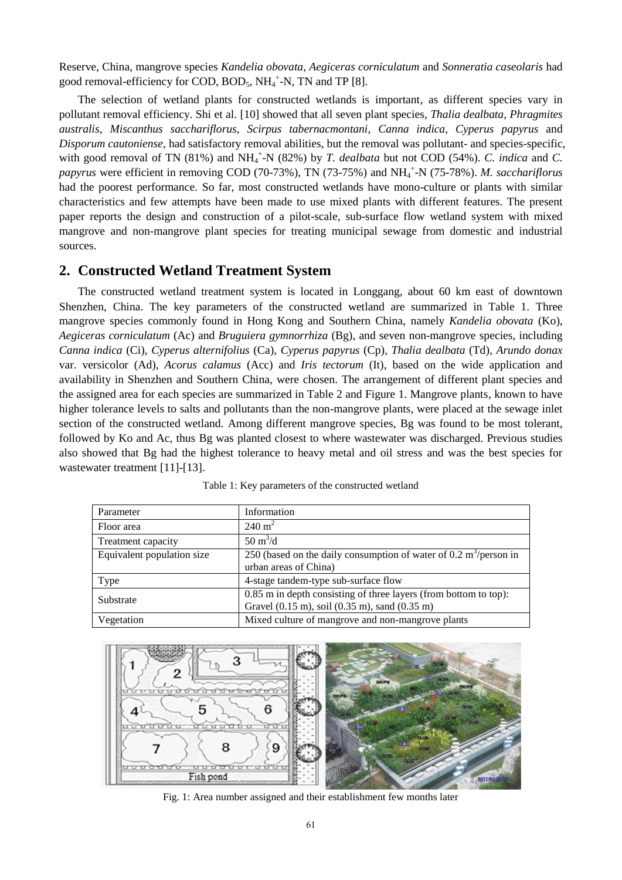Reserve, China, mangrove species *Kandelia obovata*, *Aegiceras corniculatum* and *Sonneratia caseolaris* had good removal-efficiency for COD, BOD<sub>5</sub>, NH<sub>4</sub><sup>+</sup>-N, TN and TP [8].

The selection of wetland plants for constructed wetlands is important, as different species vary in pollutant removal efficiency. Shi et al. [10] showed that all seven plant species, *Thalia dealbata*, *Phragmites australis*, *Miscanthus sacchariflorus*, *Scirpus tabernacmontani*, *Canna indica*, *Cyperus papyrus* and *Disporum cautoniense,* had satisfactory removal abilities, but the removal was pollutant- and species-specific, with good removal of TN (81%) and NH<sub>4</sub><sup>+</sup>-N (82%) by *T. dealbata* but not COD (54%). *C. indica* and *C.* papyrus were efficient in removing COD (70-73%), TN (73-75%) and NH<sub>4</sub><sup>+</sup>-N (75-78%). *M. sacchariflorus* had the poorest performance. So far, most constructed wetlands have mono-culture or plants with similar characteristics and few attempts have been made to use mixed plants with different features. The present paper reports the design and construction of a pilot-scale, sub-surface flow wetland system with mixed mangrove and non-mangrove plant species for treating municipal sewage from domestic and industrial sources.

# **2. Constructed Wetland Treatment System**

The constructed wetland treatment system is located in Longgang, about 60 km east of downtown Shenzhen, China. The key parameters of the constructed wetland are summarized in Table 1. Three mangrove species commonly found in Hong Kong and Southern China, namely *Kandelia obovata* (Ko), *Aegiceras corniculatum* (Ac) and *Bruguiera gymnorrhiza* (Bg), and seven non-mangrove species, including *Canna indica* (Ci), *Cyperus alternifolius* (Ca), *Cyperus papyrus* (Cp), *Thalia dealbata* (Td), *Arundo donax* var. versicolor (Ad), *Acorus calamus* (Acc) and *Iris tectorum* (It), based on the wide application and availability in Shenzhen and Southern China, were chosen. The arrangement of different plant species and the assigned area for each species are summarized in Table 2 and Figure 1. Mangrove plants, known to have higher tolerance levels to salts and pollutants than the non-mangrove plants, were placed at the sewage inlet section of the constructed wetland. Among different mangrove species, Bg was found to be most tolerant, followed by Ko and Ac, thus Bg was planted closest to where wastewater was discharged. Previous studies also showed that Bg had the highest tolerance to heavy metal and oil stress and was the best species for wastewater treatment [11]-[13].

| Parameter                  | Information                                                                        |  |  |  |  |
|----------------------------|------------------------------------------------------------------------------------|--|--|--|--|
| Floor area                 | $240 \text{ m}^2$                                                                  |  |  |  |  |
| Treatment capacity         | $50 \text{ m}^3/\text{d}$                                                          |  |  |  |  |
| Equivalent population size | 250 (based on the daily consumption of water of $0.2 \text{ m}^3/\text{person}$ in |  |  |  |  |
|                            | urban areas of China)                                                              |  |  |  |  |
| Type                       | 4-stage tandem-type sub-surface flow                                               |  |  |  |  |
| Substrate                  | 0.85 m in depth consisting of three layers (from bottom to top):                   |  |  |  |  |
|                            | Gravel (0.15 m), soil (0.35 m), sand (0.35 m)                                      |  |  |  |  |
| Vegetation                 | Mixed culture of mangrove and non-mangrove plants                                  |  |  |  |  |

Table 1: Key parameters of the constructed wetland



Fig. 1: Area number assigned and their establishment few months later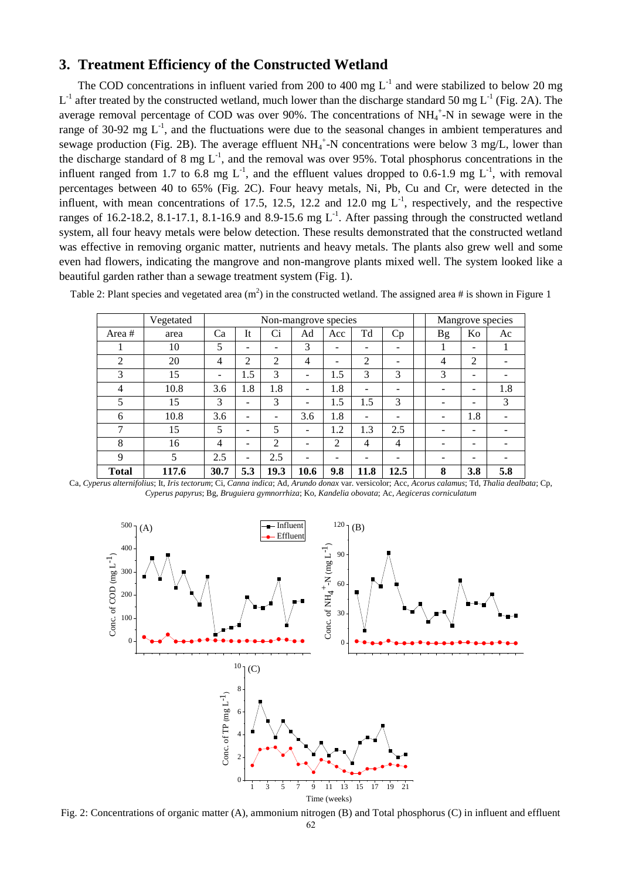### **3. Treatment Efficiency of the Constructed Wetland**

The COD concentrations in influent varied from 200 to 400 mg  $L^{-1}$  and were stabilized to below 20 mg  $L^{-1}$  after treated by the constructed wetland, much lower than the discharge standard 50 mg  $L^{-1}$  (Fig. 2A). The average removal percentage of COD was over 90%. The concentrations of  $NH_4^+$ -N in sewage were in the range of 30-92 mg  $L^{-1}$ , and the fluctuations were due to the seasonal changes in ambient temperatures and sewage production (Fig. 2B). The average effluent  $NH_4^+$ -N concentrations were below 3 mg/L, lower than the discharge standard of 8 mg  $L^{-1}$ , and the removal was over 95%. Total phosphorus concentrations in the influent ranged from 1.7 to 6.8 mg  $L^{-1}$ , and the effluent values dropped to 0.6-1.9 mg  $L^{-1}$ , with removal percentages between 40 to 65% (Fig. 2C). Four heavy metals, Ni, Pb, Cu and Cr, were detected in the influent, with mean concentrations of 17.5, 12.5, 12.2 and 12.0 mg  $L^{-1}$ , respectively, and the respective ranges of 16.2-18.2, 8.1-17.1, 8.1-16.9 and 8.9-15.6 mg  $L^{-1}$ . After passing through the constructed wetland system, all four heavy metals were below detection. These results demonstrated that the constructed wetland was effective in removing organic matter, nutrients and heavy metals. The plants also grew well and some even had flowers, indicating the mangrove and non-mangrove plants mixed well. The system looked like a beautiful garden rather than a sewage treatment system (Fig. 1).

Table 2: Plant species and vegetated area  $(m^2)$  in the constructed wetland. The assigned area # is shown in Figure 1

|                | Vegetated | Non-mangrove species |                          |                |      |     |                | Mangrove species |           |     |     |
|----------------|-----------|----------------------|--------------------------|----------------|------|-----|----------------|------------------|-----------|-----|-----|
| Area#          | area      | Ca                   | <b>It</b>                | Ci             | Ad   | Acc | Td             | Cp               | <b>Bg</b> | Ko  | Ac  |
|                | 10        | 5                    | $\overline{\phantom{0}}$ | ۰              | 3    | -   | -              | -                |           | -   |     |
| 2              | 20        | 4                    | $\overline{2}$           | $\overline{2}$ | 4    | -   | $\overline{2}$ |                  | 4         | 2   |     |
| 3              | 15        | -                    | 1.5                      | 3              |      | 1.5 | 3              | 3                | 3         | -   |     |
| $\overline{4}$ | 10.8      | 3.6                  | 1.8                      | 1.8            | -    | 1.8 | -              | -                | -         | -   | 1.8 |
| 5              | 15        | 3                    | $\overline{\phantom{a}}$ | 3              | -    | 1.5 | 1.5            | 3                | -         | ۰   | 3   |
| 6              | 10.8      | 3.6                  | $\overline{\phantom{0}}$ | ۰              | 3.6  | 1.8 |                |                  | -         | 1.8 |     |
| 7              | 15        | 5                    | $\overline{\phantom{0}}$ | 5              | -    | 1.2 | 1.3            | 2.5              | -         | -   |     |
| 8              | 16        | 4                    | $\overline{\phantom{0}}$ | 2              |      | 2   | 4              | 4                |           |     |     |
| 9              | 5         | 2.5                  | $\overline{\phantom{a}}$ | 2.5            | -    | -   |                |                  | -         | -   |     |
| <b>Total</b>   | 117.6     | 30.7                 | 5.3                      | 19.3           | 10.6 | 9.8 | 11.8           | 12.5             | 8         | 3.8 | 5.8 |

Ca, *Cyperus alternifolius*; It, *Iris tectorum*; Ci, *Canna indica*; Ad, *Arundo donax* var. versicolor; Acc, *Acorus calamus*; Td, *Thalia dealbata*; Cp, *Cyperus papyrus*; Bg, *Bruguiera gymnorrhiza*; Ko, *Kandelia obovata*; Ac, *Aegiceras corniculatum* 



Fig. 2: Concentrations of organic matter (A), ammonium nitrogen (B) and Total phosphorus (C) in influent and effluent